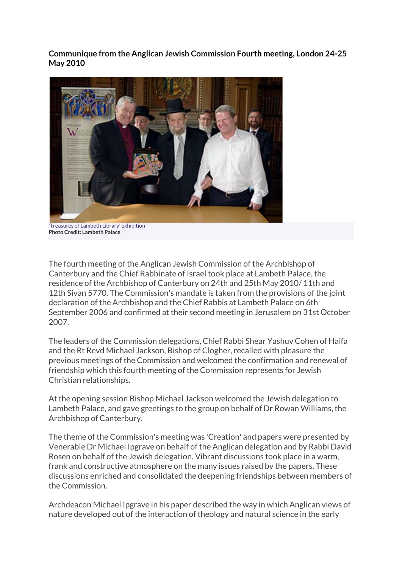**Communique from the Anglican Jewish Commission Fourth meeting, London 24-25 May 2010**



'Treasures of Lambeth Library' exhibition **Photo Credit: Lambeth Palace**

The fourth meeting of the Anglican Jewish Commission of the Archbishop of Canterbury and the Chief Rabbinate of Israel took place at Lambeth Palace, the residence of the Archbishop of Canterbury on 24th and 25th May 2010/ 11th and 12th Sivan 5770. The Commission's mandate is taken from the provisions of the joint declaration of the Archbishop and the Chief Rabbis at Lambeth Palace on 6th September 2006 and confirmed at their second meeting in Jerusalem on 31st October 2007.

The leaders of the Commission delegations, Chief Rabbi Shear Yashuv Cohen of Haifa and the Rt Revd Michael Jackson, Bishop of Clogher, recalled with pleasure the previous meetings of the Commission and welcomed the confirmation and renewal of friendship which this fourth meeting of the Commission represents for Jewish Christian relationships.

At the opening session Bishop Michael Jackson welcomed the Jewish delegation to Lambeth Palace, and gave greetings to the group on behalf of Dr Rowan Williams, the Archbishop of Canterbury.

The theme of the Commission's meeting was 'Creation' and papers were presented by Venerable Dr Michael Ipgrave on behalf of the Anglican delegation and by Rabbi David Rosen on behalf of the Jewish delegation. Vibrant discussions took place in a warm, frank and constructive atmosphere on the many issues raised by the papers. These discussions enriched and consolidated the deepening friendships between members of the Commission.

Archdeacon Michael Ipgrave in his paper described the way in which Anglican views of nature developed out of the interaction of theology and natural science in the early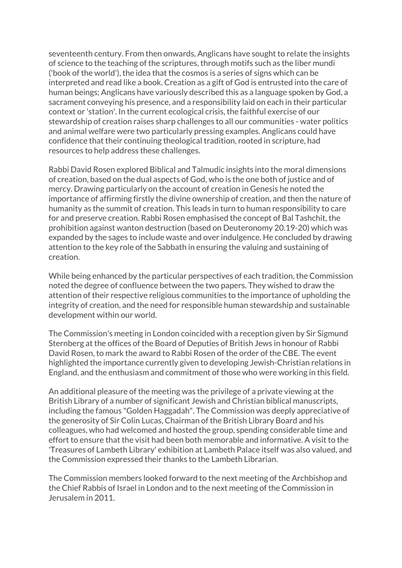seventeenth century. From then onwards, Anglicans have sought to relate the insights of science to the teaching of the scriptures, through motifs such as the liber mundi ('book of the world'), the idea that the cosmos is a series of signs which can be interpreted and read like a book. Creation as a gift of God is entrusted into the care of human beings; Anglicans have variously described this as a language spoken by God, a sacrament conveying his presence, and a responsibility laid on each in their particular context or 'station'. In the current ecological crisis, the faithful exercise of our stewardship of creation raises sharp challenges to all our communities - water politics and animal welfare were two particularly pressing examples. Anglicans could have confidence that their continuing theological tradition, rooted in scripture, had resources to help address these challenges.

Rabbi David Rosen explored Biblical and Talmudic insights into the moral dimensions of creation, based on the dual aspects of God, who is the one both of justice and of mercy. Drawing particularly on the account of creation in Genesis he noted the importance of affirming firstly the divine ownership of creation, and then the nature of humanity as the summit of creation. This leads in turn to human responsibility to care for and preserve creation. Rabbi Rosen emphasised the concept of Bal Tashchit, the prohibition against wanton destruction (based on Deuteronomy 20.19-20) which was expanded by the sages to include waste and over indulgence. He concluded by drawing attention to the key role of the Sabbath in ensuring the valuing and sustaining of creation.

While being enhanced by the particular perspectives of each tradition, the Commission noted the degree of confluence between the two papers. They wished to draw the attention of their respective religious communities to the importance of upholding the integrity of creation, and the need for responsible human stewardship and sustainable development within our world.

The Commission's meeting in London coincided with a reception given by Sir Sigmund Sternberg at the offices of the Board of Deputies of British Jews in honour of Rabbi David Rosen, to mark the award to Rabbi Rosen of the order of the CBE. The event highlighted the importance currently given to developing Jewish-Christian relations in England, and the enthusiasm and commitment of those who were working in this field.

An additional pleasure of the meeting was the privilege of a private viewing at the British Library of a number of significant Jewish and Christian biblical manuscripts, including the famous "Golden Haggadah". The Commission was deeply appreciative of the generosity of Sir Colin Lucas, Chairman of the British Library Board and his colleagues, who had welcomed and hosted the group, spending considerable time and effort to ensure that the visit had been both memorable and informative. A visit to the 'Treasures of Lambeth Library' exhibition at Lambeth Palace itself was also valued, and the Commission expressed their thanks to the Lambeth Librarian.

The Commission members looked forward to the next meeting of the Archbishop and the Chief Rabbis of Israel in London and to the next meeting of the Commission in Jerusalem in 2011.